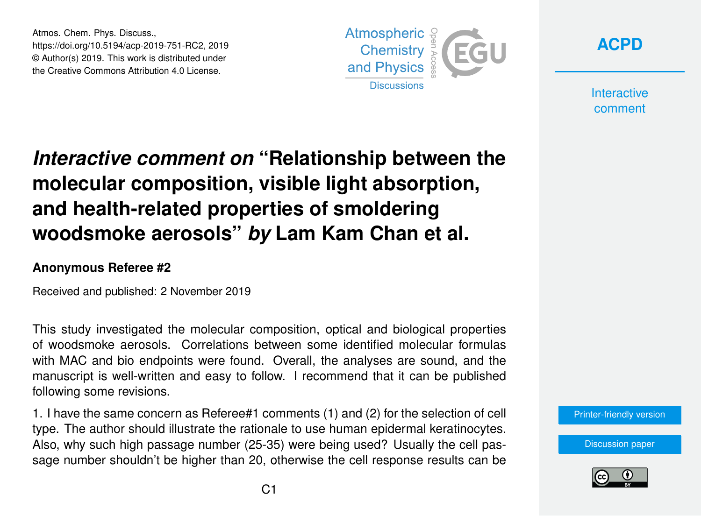Atmos. Chem. Phys. Discuss., https://doi.org/10.5194/acp-2019-751-RC2, 2019 © Author(s) 2019. This work is distributed under the Creative Commons Attribution 4.0 License.





**Interactive** comment

## *Interactive comment on* **"Relationship between the molecular composition, visible light absorption, and health-related properties of smoldering woodsmoke aerosols"** *by* **Lam Kam Chan et al.**

## **Anonymous Referee #2**

Received and published: 2 November 2019

This study investigated the molecular composition, optical and biological properties of woodsmoke aerosols. Correlations between some identified molecular formulas with MAC and bio endpoints were found. Overall, the analyses are sound, and the manuscript is well-written and easy to follow. I recommend that it can be published following some revisions.

1. I have the same concern as Referee#1 comments (1) and (2) for the selection of cell type. The author should illustrate the rationale to use human epidermal keratinocytes. Also, why such high passage number (25-35) were being used? Usually the cell passage number shouldn't be higher than 20, otherwise the cell response results can be

[Printer-friendly version](https://www.atmos-chem-phys-discuss.net/acp-2019-751/acp-2019-751-RC2-print.pdf)

[Discussion paper](https://www.atmos-chem-phys-discuss.net/acp-2019-751)